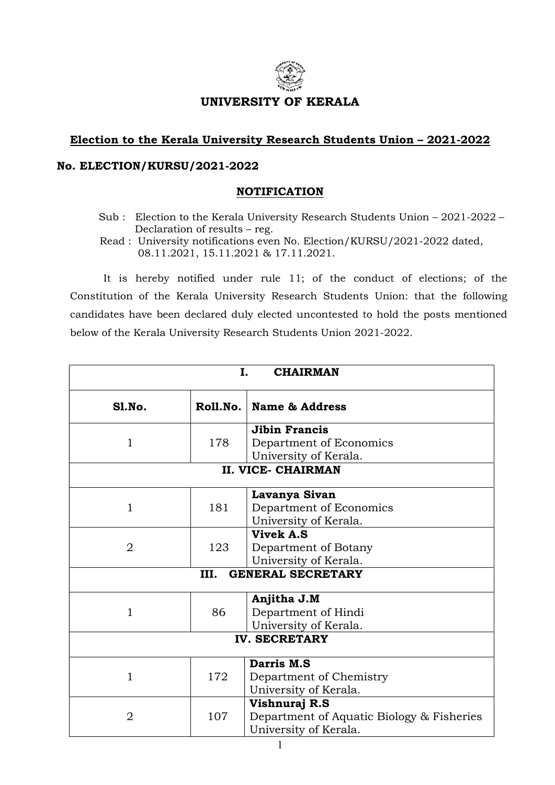

## UNIVERSITY OF KERALA

## Election to the Kerala University Research Students Union – 2021-2022

## No. ELECTION/KURSU/2021-2022

## NOTIFICATION

- Sub : Election to the Kerala University Research Students Union 2021-2022 Declaration of results – reg.
- Read : University notifications even No. Election/KURSU/2021-2022 dated, 08.11.2021, 15.11.2021 & 17.11.2021.

It is hereby notified under rule 11; of the conduct of elections; of the Constitution of the Kerala University Research Students Union: that the following candidates have been declared duly elected uncontested to hold the posts mentioned below of the Kerala University Research Students Union 2021-2022.

| I.<br><b>CHAIRMAN</b>            |          |                                                                                     |  |  |
|----------------------------------|----------|-------------------------------------------------------------------------------------|--|--|
| Sl.No.                           | Roll.No. | <b>Name &amp; Address</b>                                                           |  |  |
| $\mathbf{1}$                     | 178      | <b>Jibin Francis</b><br>Department of Economics<br>University of Kerala.            |  |  |
| <b>II. VICE- CHAIRMAN</b>        |          |                                                                                     |  |  |
| $\mathbf{1}$                     | 181      | Lavanya Sivan<br>Department of Economics<br>University of Kerala.                   |  |  |
| $\overline{2}$                   | 123      | <b>Vivek A.S</b><br>Department of Botany<br>University of Kerala.                   |  |  |
| <b>GENERAL SECRETARY</b><br>III. |          |                                                                                     |  |  |
| $\mathbf{1}$                     | 86       | Anjitha J.M<br>Department of Hindi<br>University of Kerala.                         |  |  |
| <b>IV. SECRETARY</b>             |          |                                                                                     |  |  |
| 1                                | 172      | Darris M.S<br>Department of Chemistry<br>University of Kerala.                      |  |  |
| $\overline{2}$                   | 107      | Vishnuraj R.S<br>Department of Aquatic Biology & Fisheries<br>University of Kerala. |  |  |